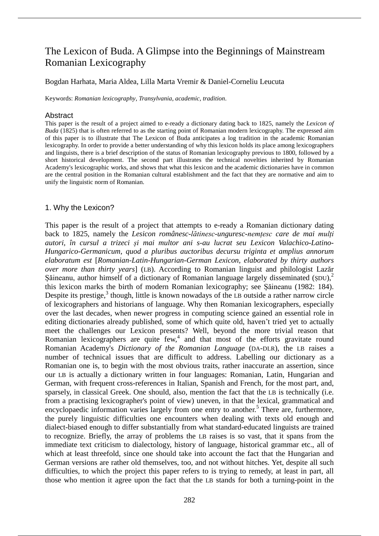# The Lexicon of Buda. A Glimpse into the Beginnings of Mainstream Romanian Lexicography

### Bogdan Harhata, Maria Aldea, Lilla Marta Vremir & Daniel-Corneliu Leucuta

Keywords: *Romanian lexicography*, *Transylvania*, *academic*, *tradition*.

### Abstract

This paper is the result of a project aimed to e-ready a dictionary dating back to 1825, namely the *Lexicon of Buda* (1825) that is often referred to as the starting point of Romanian modern lexicography. The expressed aim of this paper is to illustrate that The Lexicon of Buda anticipates a log tradition in the academic Romanian lexicography. In order to provide a better understanding of why this lexicon holds its place among lexicographers and linguists, there is a brief description of the status of Romanian lexicography previous to 1800, followed by a short historical development. The second part illustrates the technical novelties inherited by Romanian Academy's lexicographic works, and shows that what this lexicon and the academic dictionaries have in common are the central position in the Romanian cultural establishment and the fact that they are normative and aim to unify the linguistic norm of Romanian.

# 1. Why the Lexicon?

This paper is the result of a project that attempts to e-ready a Romanian dictionary dating back to 1825, namely the *Lesicon românesc-lătinesc-unguresc-nemțesc care de mai mulți autori, în cursul a trizeci și mai multor ani s-au lucrat seu Lexicon Valachico-Latino-Hungarico-Germanicum, quod a pluribus auctoribus decursu triginta et amplius annorum elaboratum est* [*Romanian-Latin-Hungarian-German Lexicon, elaborated by thirty authors over more than thirty years*] (LB). According to Romanian linguist and philologist Lazăr Șăineanu, author himself of a dictionary of Romanian language largely disseminated (ȘDU),<sup>2</sup> this lexicon marks the birth of modern Romanian lexicography; see Șăineanu (1982: 184). Despite its prestige,<sup>3</sup> though, little is known nowadays of the LB outside a rather narrow circle of lexicographers and historians of language. Why then Romanian lexicographers, especially over the last decades, when newer progress in computing science gained an essential role in editing dictionaries already published, some of which quite old, haven't tried yet to actually meet the challenges our Lexicon presents? Well, beyond the more trivial reason that Romanian lexicographers are quite  $few$ , and that most of the efforts gravitate round Romanian Academy's *Dictionary of the Romanian Language* (DA-DLR), the LB raises a number of technical issues that are difficult to address. Labelling our dictionary as a Romanian one is, to begin with the most obvious traits, rather inaccurate an assertion, since our LB is actually a dictionary written in four languages: Romanian, Latin, Hungarian and German, with frequent cross-references in Italian, Spanish and French, for the most part, and, sparsely, in classical Greek. One should, also, mention the fact that the LB is technically (i.e. from a practising lexicographer's point of view) uneven, in that the lexical, grammatical and encyclopaedic information varies largely from one entry to another.<sup>5</sup> There are, furthermore, the purely linguistic difficulties one encounters when dealing with texts old enough and dialect-biased enough to differ substantially from what standard-educated linguists are trained to recognize. Briefly, the array of problems the LB raises is so vast, that it spans from the immediate text criticism to dialectology, history of language, historical grammar etc., all of which at least threefold, since one should take into account the fact that the Hungarian and German versions are rather old themselves, too, and not without hitches. Yet, despite all such difficulties, to which the project this paper refers to is trying to remedy, at least in part, all those who mention it agree upon the fact that the LB stands for both a turning-point in the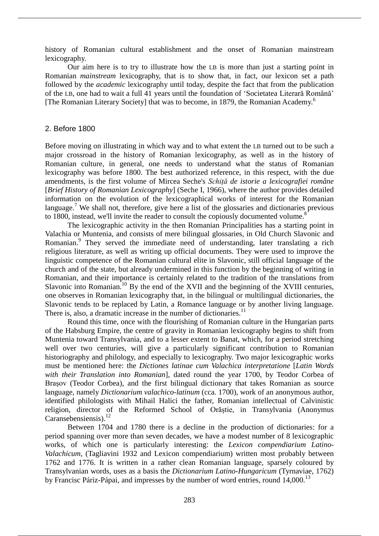history of Romanian cultural establishment and the onset of Romanian mainstream lexicography.

Our aim here is to try to illustrate how the LB is more than just a starting point in Romanian *mainstream* lexicography, that is to show that, in fact, our lexicon set a path followed by the *academic* lexicography until today, despite the fact that from the publication of the LB, one had to wait a full 41 years until the foundation of ʻSocietatea Literară Română' [The Romanian Literary Society] that was to become, in 1879, the Romanian Academy.<sup>6</sup>

## 2. Before 1800

Before moving on illustrating in which way and to what extent the LB turned out to be such a major crossroad in the history of Romanian lexicography, as well as in the history of Romanian culture, in general, one needs to understand what the status of Romanian lexicography was before 1800. The best authorized reference, in this respect, with the due amendments, is the first volume of Mircea Seche's *Schiță de istorie a lexicografiei române* [*Brief History of Romanian Lexicography*] (Seche I, 1966), where the author provides detailed information on the evolution of the lexicographical works of interest for the Romanian language.<sup>7</sup> We shall not, therefore, give here a list of the glossaries and dictionaries previous to 1800, instead, we'll invite the reader to consult the copiously documented volume.<sup>8</sup>

The lexicographic activity in the then Romanian Principalities has a starting point in Valachia or Muntenia, and consists of mere bilingual glossaries, in Old Church Slavonic and Romanian.<sup>9</sup> They served the immediate need of understanding, later translating a rich religious literature, as well as writing up official documents. They were used to improve the linguistic competence of the Romanian cultural elite in Slavonic, still official language of the church and of the state, but already undermined in this function by the beginning of writing in Romanian, and their importance is certainly related to the tradition of the translations from Slavonic into Romanian.<sup>10</sup> By the end of the XVII and the beginning of the XVIII centuries, one observes in Romanian lexicography that, in the bilingual or multilingual dictionaries, the Slavonic tends to be replaced by Latin, a Romance language or by another living language. There is, also, a dramatic increase in the number of dictionaries.<sup>11</sup>

Round this time, once with the flourishing of Romanian culture in the Hungarian parts of the Habsburg Empire, the centre of gravity in Romanian lexicography begins to shift from Muntenia toward Transylvania, and to a lesser extent to Banat, which, for a period stretching well over two centuries, will give a particularly significant contribution to Romanian historiography and philology, and especially to lexicography. Two major lexicographic works must be mentioned here: the *Dictiones latinae cum Valachica interpretatione* [*Latin Words with their Translation into Romanian*], dated round the year 1700, by Teodor Corbea of Brașov (Teodor Corbea), and the first bilingual dictionary that takes Romanian as source language, namely *Dictionarium valachico-latinum* (cca. 1700), work of an anonymous author, identified philologists with Mihail Halici the father, Romanian intellectual of Calvinistic religion, director of the Reformed School of Orăștie, in Transylvania (Anonymus Caransebensiensis). $^{12}$ 

Between 1704 and 1780 there is a decline in the production of dictionaries: for a period spanning over more than seven decades, we have a modest number of 8 lexicographic works, of which one is particularly interesting: the *Lexicon compendiarium Latino-Valachicum*, (Tagliavini 1932 and Lexicon compendiarium) written most probably between 1762 and 1776. It is written in a rather clean Romanian language, sparsely coloured by Transylvanian words, uses as a basis the *Dictionarium Latino-Hungaricum* (Tyrnaviae, 1762) by Francisc Páriz-Pápai, and impresses by the number of word entries, round  $14,000$ .<sup>13</sup>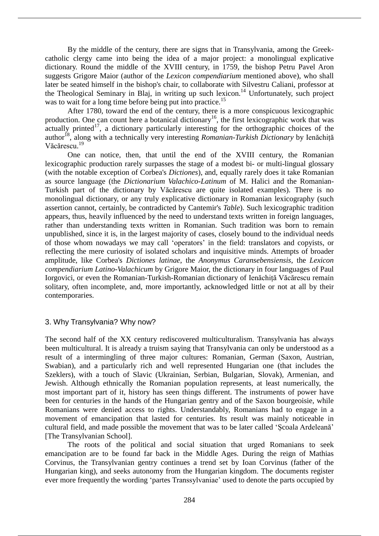By the middle of the century, there are signs that in Transylvania, among the Greekcatholic clergy came into being the idea of a major project: a monolingual explicative dictionary. Round the middle of the XVIII century, in 1759, the bishop Petru Pavel Aron suggests Grigore Maior (author of the *Lexicon compendiarium* mentioned above), who shall later be seated himself in the bishop's chair, to collaborate with Silvestru Caliani, professor at the Theological Seminary in Blaj, in writing up such lexicon.<sup>14</sup> Unfortunately, such project was to wait for a long time before being put into practice.<sup>15</sup>

After 1780, toward the end of the century, there is a more conspicuous lexicographic production. One can count here a botanical dictionary<sup>16</sup>, the first lexicographic work that was  $\alpha$  actually printed<sup>17</sup>, a dictionary particularly interesting for the orthographic choices of the author<sup>18</sup>, along with a technically very interesting *Romanian-Turkish Dictionary* by Ienăchiță Văcărescu. 19

One can notice, then, that until the end of the XVIII century, the Romanian lexicographic production rarely surpasses the stage of a modest bi- or multi-lingual glossary (with the notable exception of Corbea's *Dictiones*), and, equally rarely does it take Romanian as source language (the *Dictionarium Valachico-Latinum* of M. Halici and the Romanian-Turkish part of the dictionary by Văcărescu are quite isolated examples). There is no monolingual dictionary, or any truly explicative dictionary in Romanian lexicography (such assertion cannot, certainly, be contradicted by Cantemir's *Table*). Such lexicographic tradition appears, thus, heavily influenced by the need to understand texts written in foreign languages, rather than understanding texts written in Romanian. Such tradition was born to remain unpublished, since it is, in the largest majority of cases, closely bound to the individual needs of those whom nowadays we may call ʻoperators' in the field: translators and copyists, or reflecting the mere curiosity of isolated scholars and inquisitive minds. Attempts of broader amplitude, like Corbea's *Dictiones latinae*, the *Anonymus Caransebensiensis*, the *Lexicon compendiarium Latino-Valachicum* by Grigore Maior, the dictionary in four languages of Paul Iorgovici, or even the Romanian-Turkish-Romanian dictionary of Ienăchiță Văcărescu remain solitary, often incomplete, and, more importantly, acknowledged little or not at all by their contemporaries.

# 3. Why Transylvania? Why now?

The second half of the XX century rediscovered multiculturalism. Transylvania has always been multicultural. It is already a truism saying that Transylvania can only be understood as a result of a intermingling of three major cultures: Romanian, German (Saxon, Austrian, Swabian), and a particularly rich and well represented Hungarian one (that includes the Szeklers), with a touch of Slavic (Ukrainian, Serbian, Bulgarian, Slovak), Armenian, and Jewish. Although ethnically the Romanian population represents, at least numerically, the most important part of it, history has seen things different. The instruments of power have been for centuries in the hands of the Hungarian gentry and of the Saxon bourgeoisie, while Romanians were denied access to rights. Understandably, Romanians had to engage in a movement of emancipation that lasted for centuries. Its result was mainly noticeable in cultural field, and made possible the movement that was to be later called ʻȘcoala Ardeleană' [The Transylvanian School].

The roots of the political and social situation that urged Romanians to seek emancipation are to be found far back in the Middle Ages. During the reign of Mathias Corvinus, the Transylvanian gentry continues a trend set by Ioan Corvinus (father of the Hungarian king), and seeks autonomy from the Hungarian kingdom. The documents register ever more frequently the wording ʻpartes Transsylvaniae' used to denote the parts occupied by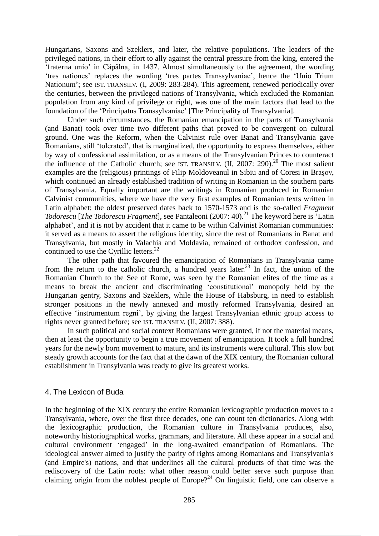Hungarians, Saxons and Szeklers, and later, the relative populations. The leaders of the privileged nations, in their effort to ally against the central pressure from the king, entered the ʻfraterna unio' in Căpâlna, in 1437. Almost simultaneously to the agreement, the wording ʻtres nationes' replaces the wording ʻtres partes Transsylvaniae', hence the ʻUnio Trium Nationum'; see IST. TRANSILV. (I, 2009: 283-284). This agreement, renewed periodically over the centuries, between the privileged nations of Transylvania, which excluded the Romanian population from any kind of privilege or right, was one of the main factors that lead to the foundation of the ʻPrincipatus Transsylvaniae' [The Principality of Transylvania].

Under such circumstances, the Romanian emancipation in the parts of Transylvania (and Banat) took over time two different paths that proved to be convergent on cultural ground. One was the Reform, when the Calvinist rule over Banat and Transylvania gave Romanians, still ʻtolerated', that is marginalized, the opportunity to express themselves, either by way of confessional assimilation, or as a means of the Transylvanian Princes to counteract the influence of the Catholic church; see IST. TRANSILV.  $(II, 2007: 290)^{20}$  The most salient examples are the (religious) printings of Filip Moldoveanul in Sibiu and of Coresi in Brașov, which continued an already established tradition of writing in Romanian in the southern parts of Transylvania. Equally important are the writings in Romanian produced in Romanian Calvinist communities, where we have the very first examples of Romanian texts written in Latin alphabet: the oldest preserved dates back to 1570-1573 and is the so-called *Fragment Todorescu* [*The Todorescu Fragment*], see Pantaleoni (2007: 40).<sup>21</sup> The keyword here is 'Latin alphabet', and it is not by accident that it came to be within Calvinist Romanian communities: it served as a means to assert the religious identity, since the rest of Romanians in Banat and Transylvania, but mostly in Valachia and Moldavia, remained of orthodox confession, and continued to use the Cyrillic letters.<sup>22</sup>

The other path that favoured the emancipation of Romanians in Transylvania came from the return to the catholic church, a hundred years later.<sup>23</sup> In fact, the union of the Romanian Church to the See of Rome, was seen by the Romanian elites of the time as a means to break the ancient and discriminating ʻconstitutional' monopoly held by the Hungarian gentry, Saxons and Szeklers, while the House of Habsburg, in need to establish stronger positions in the newly annexed and mostly reformed Transylvania, desired an effective ʻinstrumentum regni', by giving the largest Transylvanian ethnic group access to rights never granted before; see IST. TRANSILV. (II, 2007: 388).

In such political and social context Romanians were granted, if not the material means, then at least the opportunity to begin a true movement of emancipation. It took a full hundred years for the newly born movement to mature, and its instruments were cultural. This slow but steady growth accounts for the fact that at the dawn of the XIX century, the Romanian cultural establishment in Transylvania was ready to give its greatest works.

# 4. The Lexicon of Buda

In the beginning of the XIX century the entire Romanian lexicographic production moves to a Transylvania, where, over the first three decades, one can count ten dictionaries. Along with the lexicographic production, the Romanian culture in Transylvania produces, also, noteworthy historiographical works, grammars, and literature. All these appear in a social and cultural environment ʻengaged' in the long-awaited emancipation of Romanians. The ideological answer aimed to justify the parity of rights among Romanians and Transylvania's (and Empire's) nations, and that underlines all the cultural products of that time was the rediscovery of the Latin roots: what other reason could better serve such purpose than claiming origin from the noblest people of Europe?<sup>24</sup> On linguistic field, one can observe a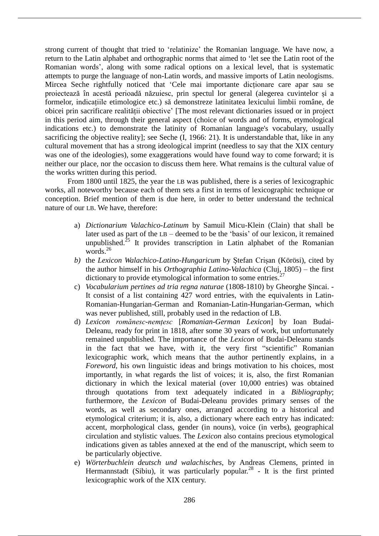strong current of thought that tried to ʻrelatinize' the Romanian language. We have now, a return to the Latin alphabet and orthographic norms that aimed to ʻlet see the Latin root of the Romanian words', along with some radical options on a lexical level, that is systematic attempts to purge the language of non-Latin words, and massive imports of Latin neologisms. Mircea Seche rightfully noticed that ʻCele mai importante dicționare care apar sau se proiectează în acestă perioadă năzuiesc, prin spectul lor general (alegerea cuvintelor și a formelor, indicațiile etimologice etc.) să demonstreze latinitatea lexicului limbii române, de obicei prin sacrificare realității obiective' [The most relevant dictionaries issued or in project in this period aim, through their general aspect (choice of words and of forms, etymological indications etc.) to demonstrate the latinity of Romanian language's vocabulary, usually sacrificing the objective reality]; see Seche (I, 1966: 21). It is understandable that, like in any cultural movement that has a strong ideological imprint (needless to say that the XIX century was one of the ideologies), some exaggerations would have found way to come forward; it is neither our place, nor the occasion to discuss them here. What remains is the cultural value of the works written during this period.

From 1800 until 1825, the year the LB was published, there is a series of lexicographic works, all noteworthy because each of them sets a first in terms of lexicographic technique or conception. Brief mention of them is due here, in order to better understand the technical nature of our LB. We have, therefore:

- a) *Dictionarium Valachico-Latinum* by Samuil Micu-Klein (Clain) that shall be later used as part of the LB – deemed to be the ʻbasis' of our lexicon, it remained unpublished.<sup>25</sup> It provides transcription in Latin alphabet of the Romanian words $^{26}$
- *b)* the *Lexicon Walachico-Latino-Hungaricum* by Ștefan Crișan (Körösi), cited by the author himself in his *Orthographia Latino-Valachica* (Cluj, 1805) – the first dictionary to provide etymological information to some entries.<sup>27</sup>
- c) *Vocabularium pertines ad tria regna naturae* (1808-1810) by Gheorghe Șincai. It consist of a list containing 427 word entries, with the equivalents in Latin-Romanian-Hungarian-German and Romanian-Latin-Hungarian-German, which was never published, still, probably used in the redaction of LB.
- d) *Lexicon romănesc-nemțesc* [*Romanian-German Lexicon*] by Ioan Budai-Deleanu, ready for print in 1818, after some 30 years of work, but unfortunately remained unpublished. The importance of the *Lexicon* of Budai-Deleanu stands in the fact that we have, with it, the very first "scientific" Romanian lexicographic work, which means that the author pertinently explains, in a *Foreword*, his own linguistic ideas and brings motivation to his choices, most importantly, in what regards the list of voices; it is, also, the first Romanian dictionary in which the lexical material (over 10,000 entries) was obtained through quotations from text adequately indicated in a *Bibliography*; furthermore, the *Lexicon* of Budai-Deleanu provides primary senses of the words, as well as secondary ones, arranged according to a historical and etymological criterium; it is, also, a dictionary where each entry has indicated: accent, morphological class, gender (in nouns), voice (in verbs), geographical circulation and stylistic values. The *Lexicon* also contains precious etymological indications given as tables annexed at the end of the manuscript, which seem to be particularly objective.
- e) *Wörterbuchlein deutsch und walachisches*, by Andreas Clemens, printed in Hermannstadt (Sibiu), it was particularly popular.<sup>28</sup> - It is the first printed lexicographic work of the XIX century.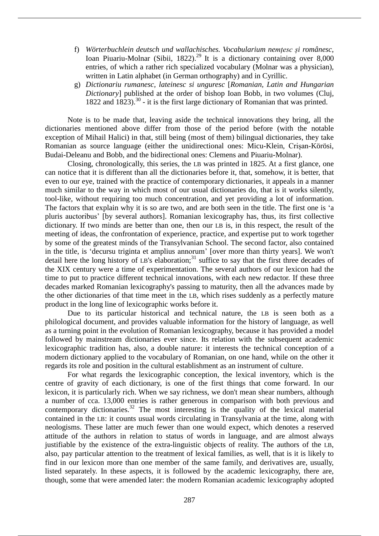- f) *Wörterbuchlein deutsch und wallachisches. Vocabularium nemțesc și românesc*, Ioan Piuariu-Molnar (Sibii, 1822).<sup>29</sup> It is a dictionary containing over 8,000 entries, of which a rather rich specialized vocabulary (Molnar was a physician), written in Latin alphabet (in German orthography) and in Cyrillic.
- g) *Dictionariu rumanesc, lateinesc si unguresc* [*Romanian, Latin and Hungarian Dictionary*] published at the order of bishop Ioan Bobb, in two volumes (Cluj, 1822 and 1823).<sup>30</sup> - it is the first large dictionary of Romanian that was printed.

Note is to be made that, leaving aside the technical innovations they bring, all the dictionaries mentioned above differ from those of the period before (with the notable exception of Mihail Halici) in that, still being (most of them) bilingual dictionaries, they take Romanian as source language (either the unidirectional ones: Micu-Klein, Crișan-Körösi, Budai-Deleanu and Bobb, and the bidirectional ones: Clemens and Piuariu-Molnar).

Closing, chronologically, this series, the LB was printed in 1825. At a first glance, one can notice that it is different than all the dictionaries before it, that, somehow, it is better, that even to our eye, trained with the practice of contemporary dictionaries, it appeals in a manner much similar to the way in which most of our usual dictionaries do, that is it works silently, tool-like, without requiring too much concentration, and yet providing a lot of information. The factors that explain why it is so are two, and are both seen in the title. The first one is ʻa pluris auctoribus' [by several authors]. Romanian lexicography has, thus, its first collective dictionary. If two minds are better than one, then our LB is, in this respect, the result of the meeting of ideas, the confrontation of experience, practice, and expertise put to work together by some of the greatest minds of the Transylvanian School. The second factor, also contained in the title, is ʻdecursu triginta et amplius annorum' [over more than thirty years]. We won't detail here the long history of LB's elaboration;<sup>31</sup> suffice to say that the first three decades of the XIX century were a time of experimentation. The several authors of our lexicon had the time to put to practice different technical innovations, with each new redactor. If these three decades marked Romanian lexicography's passing to maturity, then all the advances made by the other dictionaries of that time meet in the LB, which rises suddenly as a perfectly mature product in the long line of lexicographic works before it.

Due to its particular historical and technical nature, the LB is seen both as a philological document, and provides valuable information for the history of language, as well as a turning point in the evolution of Romanian lexicography, because it has provided a model followed by mainstream dictionaries ever since. Its relation with the subsequent academic lexicographic tradition has, also, a double nature: it interests the technical conception of a modern dictionary applied to the vocabulary of Romanian, on one hand, while on the other it regards its role and position in the cultural establishment as an instrument of culture.

For what regards the lexicographic conception, the lexical inventory, which is the centre of gravity of each dictionary, is one of the first things that come forward. In our lexicon, it is particularly rich. When we say richness, we don't mean shear numbers, although a number of cca. 13,000 entries is rather generous in comparison with both previous and contemporary dictionaries.<sup>32</sup> The most interesting is the quality of the lexical material contained in the LB: it counts usual words circulating in Transylvania at the time, along with neologisms. These latter are much fewer than one would expect, which denotes a reserved attitude of the authors in relation to status of words in language, and are almost always justifiable by the existence of the extra-linguistic objects of reality. The authors of the LB, also, pay particular attention to the treatment of lexical families, as well, that is it is likely to find in our lexicon more than one member of the same family, and derivatives are, usually, listed separately. In these aspects, it is followed by the academic lexicography, there are, though, some that were amended later: the modern Romanian academic lexicography adopted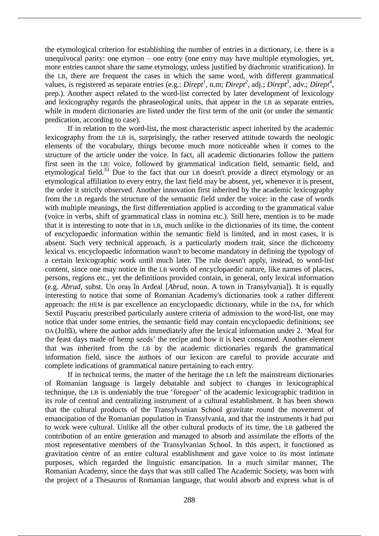the etymological criterion for establishing the number of entries in a dictionary, i.e. there is a unequivocal parity: one etymon – one entry (one entry may have multiple etymologies, yet, more entries cannot share the same etymology, unless justified by diachronic stratification). In the LB, there are frequent the cases in which the same word, with different grammatical values, is registered as separate entries (e.g.: *Dirept<sup>1</sup>*, n.m; *Dirept<sup>2</sup>*, adj.; *Dirept<sup>3</sup>*, adv.; *Dirept<sup>4</sup>*, prep.). Another aspect related to the word-list corrected by later development of lexicology and lexicography regards the phraseological units, that appear in the LB as separate entries, while in modern dictionaries are listed under the first term of the unit (or under the semantic predication, according to case).

If in relation to the word-list, the most characteristic aspect inherited by the academic lexicography from the LB is, surprisingly, the rather reserved attitude towards the neologic elements of the vocabulary, things become much more noticeable when it comes to the structure of the article under the voice. In fact, all academic dictionaries follow the pattern first seen in the LB: voice, followed by grammatical indication field, semantic field, and etymological field.<sup>33</sup> Due to the fact that our LB doesn't provide a direct etymology or an etymological affiliation to every entry, the last field may be absent, yet, whenever it is present, the order it strictly observed. Another innovation first inherited by the academic lexicography from the LB regards the structure of the semantic field under the voice: in the case of words with multiple meanings, the first differentiation applied is according to the grammatical value (voice in verbs, shift of grammatical class in nomina etc.). Still here, mention is to be made that it is interesting to note that in LB, much unlike in the dictionaries of its time, the content of encyclopaedic information within the semantic field is limited, and in most cases, it is absent. Such very technical approach, is a particularly modern trait, since the dichotomy lexical vs. encyclopaedic information wasn't to become mandatory in defining the typology of a certain lexicographic work until much later. The rule doesn't apply, instead, to word-list content, since one may notice in the LB words of encyclopaedic nature, like names of places, persons, regions etc., yet the definitions provided contain, in general, only lexical information (e.g. *Abrud*, subst. Un oraș în Ardeal [*Abrud*, noun. A town in Transylvania]). It is equally interesting to notice that some of Romanian Academy's dictionaries took a rather different approach: the HEM is par excellence an encyclopaedic dictionary, while in the DA, for which Sextil Pușcariu prescribed particularly austere criteria of admission to the word-list, one may notice that under some entries, the semantic field may contain encyclopaedic definitions; see DA (Julfă), where the author adds immediately after the lexical information under 2. ʻMeal for the feast days made of hemp seeds' the recipe and how it is best consumed. Another element that was inherited from the LB by the academic dictionaries regards the grammatical information field, since the authors of our lexicon are careful to provide accurate and complete indications of grammatical nature pertaining to each entry.

If in technical terms, the matter of the heritage the LB left the mainstream dictionaries of Romanian language is largely debatable and subject to changes in lexicographical technique, the LB is undeniably the true ʻforegoer' of the academic lexicographic tradition in its role of central and centralizing instrument of a cultural establishment. It has been shown that the cultural products of the Transylvanian School gravitate round the movement of emancipation of the Romanian population in Transylvania, and that the instruments it had put to work were cultural. Unlike all the other cultural products of its time, the LB gathered the contribution of an entire generation and managed to absorb and assimilate the efforts of the most representative members of the Transylvanian School. In this aspect, it functioned as gravitation centre of an entire cultural establishment and gave voice to its most intimate purposes, which regarded the linguistic emancipation. In a much similar manner, The Romanian Academy, since the days that was still called The Academic Society, was born with the project of a Thesaurus of Romanian language, that would absorb and express what is of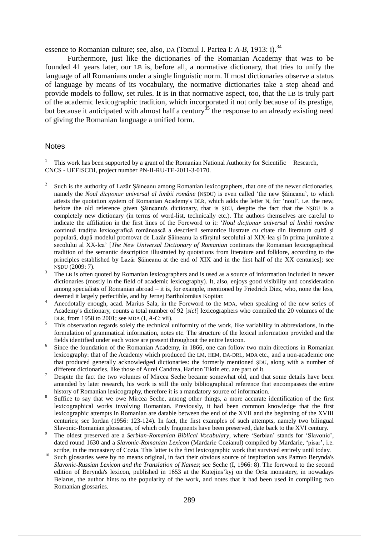essence to Romanian culture; see, also, DA (Tomul I. Partea I: *A-B*, 1913: i).<sup>34</sup>

Furthermore, just like the dictionaries of the Romanian Academy that was to be founded 41 years later, our LB is, before all, a normative dictionary, that tries to unify the language of all Romanians under a single linguistic norm. If most dictionaries observe a status of language by means of its vocabulary, the normative dictionaries take a step ahead and provide models to follow, set rules. It is in that normative aspect, too, that the LB is truly part of the academic lexicographic tradition, which incorporated it not only because of its prestige, but because it anticipated with almost half a century<sup>35</sup> the response to an already existing need of giving the Romanian language a unified form.

### **Notes**

<sup>1</sup> This work has been supported by a grant of the Romanian National Authority for Scientific Research, CNCS - UEFISCDI, project number PN-II-RU-TE-2011-3-0170.

- 2 Such is the authority of Lazăr Șăineanu among Romanian lexicographers, that one of the newer dictionaries, namely the *Noul dicționar universal al limbii române* (NȘDU) is even called ʻthe new Șăineanu', to which attests the quotation system of Romanian Academy's DLR, which adds the letter N, for ʻnoul', i.e. the new, before the old reference given Șăineanu's dictionary, that is ȘDU, despite the fact that the NȘDU is a completely new dictionary (in terms of word-list, technically etc.). The authors themselves are careful to indicate the affiliation in the first lines of the Foreword to it: ʻ*Noul dicționar universal al limbii române* continuă tradiția lexicografică românească a descrierii semantice ilustrate cu citate din literatura cultă și populară, după modelul promovat de Lazăr Șăineanu la sfârșitul secolului al XIX-lea și în prima jumătate a secolului al XX-lea' [*The New Universal Dictionary of Romanian* continues the Romanian lexicographical tradition of the semantic description illustrated by quotations from literature and folklore, according to the principles established by Lazăr Șăineanu at the end of XIX and in the first half of the XX centuries]; see NȘDU (2009: 7).
- <sup>3</sup> The LB is often quoted by Romanian lexicographers and is used as a source of information included in newer dictionaries (mostly in the field of academic lexicography). It, also, enjoys good visibility and consideration among specialists of Romanian abroad – it is, for example, mentioned by Friedrich Diez, who, none the less, deemed it largely perfectible, and by Jernej Bartholomäus Kopitar.
- <sup>4</sup> Anecdotally enough, acad. Marius Sala, in the Foreword to the MDA, when speaking of the new series of Academy's dictionary, counts a total number of 92 [*sic!*] lexicographers who compiled the 20 volumes of the DLR, from 1958 to 2001; see MDA (I, *A-C*: vii).
- $\frac{5}{\pi}$ . This observation regards solely the technical uniformity of the work, like variability in abbreviations, in the formulation of grammatical information, notes etc. The structure of the lexical information provided and the fields identified under each voice are present throughout the entire lexicon.
- 6 Since the foundation of the Romanian Academy, in 1866, one can follow two main directions in Romanian lexicography: that of the Academy which produced the LM, HEM, DA-DRL, MDA etc., and a non-academic one that produced generally acknowledged dictionaries: the formerly mentioned ȘDU, along with a number of different dictionaries, like those of Aurel Candrea, Hariton Tiktin etc. are part of it.
- <sup>7</sup> Despite the fact the two volumes of Mircea Seche became somewhat old, and that some details have been amended by later research, his work is still the only bibliographical reference that encompasses the entire history of Romanian lexicography, therefore it is a mandatory source of information.
- 8 Suffice to say that we owe Mircea Seche, among other things, a more accurate identification of the first lexicographical works involving Romanian. Previously, it had been common knowledge that the first lexicographic attempts in Romanian are datable between the end of the XVII and the beginning of the XVIII centuries; see Iordan (1956: 123-124). In fact, the first examples of such attempts, namely two bilingual Slavonic-Romanian glossaries, of which only fragments have been preserved, date back to the XVI century.
- <sup>9</sup> The oldest preserved are a *Serbian-Romanian Biblical Vocabulary*, where ʻSerbian' stands for ʻSlavonic', dated round 1630 and a *Slavonic-Romanian Lexicon* (Mardarie Cozianul) compiled by Mardarie, ʻpisar', i.e. scribe, in the monastery of Cozia. This latter is the first lexicographic work that survived entirely until today.
- <sup>10</sup> Such glossaries were by no means original, in fact their obvious source of inspiration was Pamvo Berynda's *Slavonic-Russian Lexicon and the Translation of Names*; see Seche (I, 1966: 8). The foreword to the second edition of Berynda's lexicon, published in 1653 at the Kutejins'kyj on the Orša monastery, in nowadays Belarus, the author hints to the popularity of the work, and notes that it had been used in compiling two Romanian glossaries.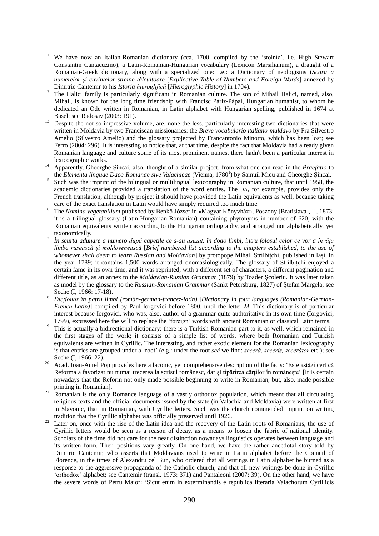- <sup>11</sup> We have now an Italian-Romanian dictionary (cca. 1700, compiled by the 'stolnic', i.e. High Stewart Constantin Cantacuzino), a Latin-Romanian-Hungarian vocabulary (Lexicon Marsilianum), a draught of a Romanian-Greek dictionary, along with a specialized one: i.e.: a Dictionary of neologisms (*Scara a numerelor și cuvintelor streine tâlcuitoare* [*Explicative Table of Numbers and Foreign Words*] annexed by Dimitrie Cantemir to his *Istoria hieroglifică* [*Hieroglyphic History*] in 1704).
- <sup>12</sup> The Halici family is particularly significant in Romanian culture. The son of Mihail Halici, named, also, Mihail, is known for the long time friendship with Francisc Páriz-Pápai, Hungarian humanist, to whom he dedicated an Ode written in Romanian, in Latin alphabet with Hungarian spelling, published in 1674 at Basel; see Radosav (2003: 191).
- <sup>13</sup> Despite the not so impressive volume, are, none the less, particularly interesting two dictionaries that were written in Moldavia by two Franciscan missionaries: the *Breve vocabulario italiano-muldavo* by Fra Silvestro Amelio (Silvestro Amelio) and the glossary projected by Francantonio Minotto, which has been lost; see Ferro (2004: 296). It is interesting to notice that, at that time, despite the fact that Moldavia had already given Romanian language and culture some of its most prominent names, there hadn't been a particular interest in lexicographic works.
- <sup>14</sup> Apparently, Gheorghe Șincai, also, thought of a similar project, from what one can read in the *Praefatio* to the *Elementa linguae Daco-Romanae sive Valachicae* (Vienna, 1780<sup>1</sup> ) by Samuil Micu and Gheorghe Șincai.
- <sup>15</sup> Such was the imprint of the bilingual or multilingual lexicography in Romanian culture, that until 1958, the academic dictionaries provided a translation of the word entries. The DA, for example, provides only the French translation, although by project it should have provided the Latin equivalents as well, because taking care of the exact translation in Latin would have simply required too much time.
- <sup>16</sup> The *Nomina vegetabilium* published by Benkő József in «Magyar Könyvház», Poszony [Bratislava], II, 1873; it is a trilingual glossary (Latin-Hungarian-Romanian) containing phytonyms in number of 620, with the Romanian equivalents written according to the Hungarian orthography, and arranged not alphabetically, yet taxonomically.
- În scurta adunare a numero după capetile ce s-au așezat, în doao limbi, întru folosul celor ce vor a învăța *limba rusească și moldovenească* [*Brief numbered list according to the chapters established, to the use of whomever shall deem to learn Russian and Moldavian*] by protopope Mihail Strilbițchi, published in Iași, in the year 1789; it contains 1,500 words arranged onomasiologically. The glossary of Strilbițchi enjoyed a certain fame in its own time, and it was reprinted, with a different set of characters, a different pagination and different title, as an annex to the *Moldavian-Russian Grammar* (1879) by Toader Școleriu. It was later taken as model by the glossary to the *Russian-Romanian Grammar* (Sankt Petersburg, 1827) of Ștefan Margela; see Seche (I, 1966: 17-18).
- <sup>18</sup> *Dicționar în patru limbi (român-german-francez-latin)* [*Dictionary in four languages (Romanian-German-French-Latin*)] compiled by Paul Iorgovici before 1800, until the letter *M*. This dictionary is of particular interest because Iorgovici, who was, also, author of a grammar quite authoritative in its own time (Iorgovici, 1799), expressed here the will to replace the ʻforeign' words with ancient Romanian or classical Latin terms.
- <sup>19</sup> This is actually a bidirectional dictionary: there is a Turkish-Romanian part to it, as well, which remained in the first stages of the work; it consists of a simple list of words, where both Romanian and Turkish equivalents are written in Cyrillic. The interesting, and rather exotic element for the Romanian lexicography is that entries are grouped under a ʻroot' (e.g.: under the root *seč* we find: *seceră, seceriș, secerător* etc.); see Seche (I, 1966: 22).
- Acad. Ioan-Aurel Pop provides here a laconic, yet comprehensive description of the facts: 'Este astăzi cert că Reforma a favorizat nu numai trecerea la scrisul românesc, dar și tipărirea cărților în românește' [It is certain nowadays that the Reform not only made possible beginning to write in Romanian, but, also, made possible printing in Romanian].
- <sup>21</sup> Romanian is the only Romance language of a vastly orthodox population, which meant that all circulating religious texts and the official documents issued by the state (in Valachia and Moldavia) were written at first in Slavonic, than in Romanian, with Cyrillic letters. Such was the church commended imprint on writing tradition that the Cyrillic alphabet was officially preserved until 1926.
- <sup>22</sup> Later on, once with the rise of the Latin idea and the recovery of the Latin roots of Romanians, the use of Cyrillic letters would be seen as a reason of decay, as a means to loosen the fabric of national identity. Scholars of the time did not care for the neat distinction nowadays linguistics operates between language and its written form. Their positions vary greatly. On one hand, we have the rather anecdotal story told by Dimitrie Cantemir, who asserts that Moldavians used to write in Latin alphabet before the Council of Florence, in the times of Alexandru cel Bun, who ordered that all writings in Latin alphabet be burned as a response to the aggressive propaganda of the Catholic church, and that all new writings be done in Cyrillic ʻorthodox' alphabet; see Cantemir (transl. 1973: 371) and Pantaleoni (2007: 39). On the other hand, we have the severe words of Petru Maior: ʻSicut enim in exterminandis e republica literaria Valachorum Cyrillicis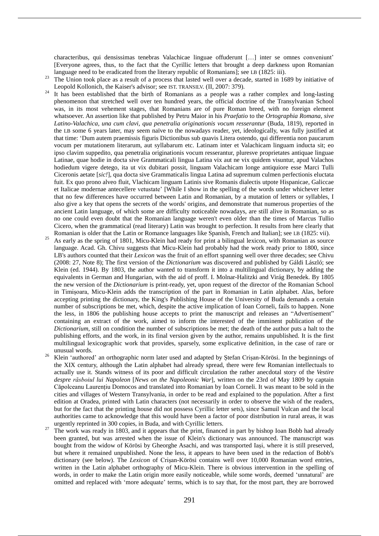characteribus, qui densissimas tenebras Valachicae linguae offuderunt […] inter se omnes conveniunt' [Everyone agrees, thus, to the fact that the Cyrillic letters that brought a deep darkness upon Romanian language need to be eradicated from the literary republic of Romanians]; see LB (1825: iii).

- <sup>23</sup> The Union took place as a result of a process that lasted well over a decade, started in 1689 by initiative of Leopold Kollonich, the Kaiser's advisor; see IST. TRANSILV. (II, 2007: 379).
- $24$  It has been established that the birth of Romanians as a people was a rather complex and long-lasting phenomenon that stretched well over ten hundred years, the official doctrine of the Transylvanian School was, in its most vehement stages, that Romanians are of pure Roman breed, with no foreign element whatsoever. An assertion like that published by Petru Maior in his *Praefatio* to the *Ortographia Romana, sive Latino-Valachica, una cum clavi, qua penetralia originationis vocum resserantur* (Buda, 1819), reported in the LB some 6 years later, may seem naïve to the nowadays reader, yet, ideologically, was fully justified at that time: ʻDum autem praemissis figuris Dictionibus sub quavis Litera ostendo, qui differentia non paucarum vocum per mutationem literarum, aut syllabarum etc. Latinam inter et Valachicam linguam inducta sit; eo ipso clavim suppedito, qua penetralia originationis vocum resserantur, pluresve proprietates antiquae linguae Latinae, quae hodie in docta sive Grammaticali lingua Latina vix aut ne vix quidem visuntur, apud Valachos hodiedum vigere detego, ita ut vix dubitari possit, linguam Valachicam longe antiquiore esse Marci Tulli Ciceronis aetate [*sic!*], qua docta sive Grammaticalis lingua Latina ad supremum culmen perfectionis eluctata fuit. Ex quo prono alveo fluit, Vlachicam linguam Latinis sive Romanis dialectis utpote Hispanicae, Galiccae et Italicae modernae antecellere vetustate' [While I show in the spelling of the words under whichever letter that no few differences have occurred between Latin and Romanian, by a mutation of letters or syllables, I also give a key that opens the secrets of the words' origins, and demonstrate that numerous properties of the ancient Latin language, of which some are difficulty noticeable nowadays, are still alive in Romanian, so as no one could even doubt that the Romanian language weren't even older than the times of Marcus Tullio Cicero, when the grammatical (read literary) Latin was brought to perfection. It results from here clearly that Romanian is older that the Latin or Romance languages like Spanish, French and Italian]; see LB (1825: vii).
- <sup>25</sup> As early as the spring of 1801, Micu-Klein had ready for print a bilingual lexicon, with Romanian as source language. Acad. Gh. Chivu suggests that Micu-Klein had probably had the work ready prior to 1800, since LB's authors counted that their *Lexicon* was the fruit of an effort spanning well over three decades; see Chivu (2008: 27, Note 8); The first version of the *Dictionarium* was discovered and published by Gáldi László; see Klein (ed. 1944). By 1803, the author wanted to transform it into a multilingual dictionary, by adding the equivalents in German and Hungarian, with the aid of proff. I. Molnar-Halitzki and Virág Benedek. By 1805 the new version of the *Dictionarium* is print-ready, yet, upon request of the director of the Romanian School in Timișoara, Micu-Klein adds the transcription of the part in Romanian in Latin alphabet. Alas, before accepting printing the dictionary, the King's Publishing House of the University of Buda demands a certain number of subscriptions be met, which, despite the active implication of Ioan Corneli, fails to happen. None the less, in 1806 the publishing house accepts to print the manuscript and releases an "Advertisement" containing an extract of the work, aimed to inform the interested of the imminent publication of the *Dictionarium*, still on condition the number of subscriptions be met; the death of the author puts a halt to the publishing efforts, and the work, in its final version given by the author, remains unpublished. It is the first multilingual lexicographic work that provides, sparsely, some explicative definition, in the case of rare or unusual words.
- <sup>26</sup> Klein ʻauthored' an orthographic norm later used and adapted by Ștefan Crișan-Körösi. In the beginnings of the XIX century, although the Latin alphabet had already spread, there were few Romanian intellectuals to actually use it. Stands witness of its poor and difficult circulation the rather anecdotal story of the *Vestire despre răsboiul lui Napoleon* [*News on the Napoleonic War*], written on the 23rd of May 1809 by captain Căpolceanu Laurențiu Domocos and translated into Romanian by Ioan Corneli. It was meant to be sold in the cities and villages of Western Transylvania, in order to be read and explained to the population. After a first edition at Oradea, printed with Latin characters (not necessarily in order to observe the wish of the readers, but for the fact that the printing house did not possess Cyrillic letter sets), since Samuil Vulcan and the local authorities came to acknowledge that this would have been a factor of poor distribution in rural areas, it was urgently reprinted in 300 copies, in Buda, and with Cyrillic letters.
- <sup>27</sup> The work was ready in 1803, and it appears that the print, financed in part by bishop Ioan Bobb had already been granted, but was arrested when the issue of Klein's dictionary was announced. The manuscript was bought from the widow of Körösi by Gheorghe Asachi, and was transported Iași, where it is still preserved, but where it remained unpublished. None the less, it appears to have been used in the redaction of Bobb's dictionary (see below). The *Lexicon* of Crișan-Körösi contains well over 10,000 Romanian word entries, written in the Latin alphabet orthography of Micu-Klein. There is obvious intervention in the spelling of words, in order to make the Latin origin more easily noticeable, while some words, deemed ʻunnatural' are omitted and replaced with ʻmore adequate' terms, which is to say that, for the most part, they are borrowed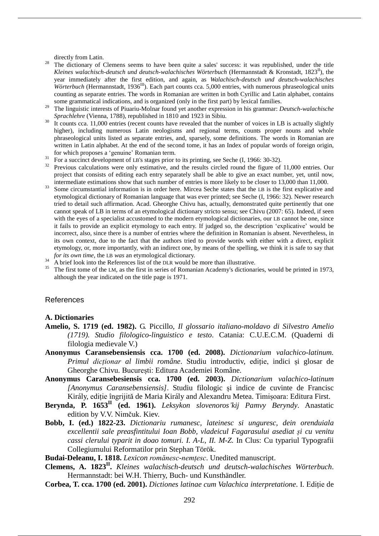directly from Latin.

- <sup>28</sup> The dictionary of Clemens seems to have been quite a sales' success: it was republished, under the title *Kleines walachisch-deutsch und deutsch-walachisches Wörterbuch* (Hermannstadt & Kronstadt, 1823II), the year immediately after the first edition, and again, as *Walachisch-deutsch und deutsch-walachisches Wörterbuch* (Hermannstadt, 1936<sup>III</sup>). Each part counts cca. 5,000 entries, with numerous phraseological units counting as separate entries. The words in Romanian are written in both Cyrillic and Latin alphabet, contains some grammatical indications, and is organized (only in the first part) by lexical families.
- <sup>29</sup> The linguistic interests of Piuariu-Molnar found yet another expression in his grammar: *Deutsch-walachische Sprachlehre* (Vienna, 1788), republished in 1810 and 1923 in Sibiu.
- $30 \text{ It counts cca. } 11,000 \text{ entries (recent counts have revealed that the number of voices in LB is actually slightly)}$ higher), including numerous Latin neologisms and regional terms, counts proper nouns and whole phraseological units listed as separate entries, and, sparsely, some definitions. The words in Romanian are written in Latin alphabet. At the end of the second tome, it has an Index of popular words of foreign origin, for which proposes a ʻgenuine' Romanian term.
- $31$  For a succinct development of LB's stages prior to its printing, see Seche (I, 1966: 30-32).
- <sup>32</sup> Previous calculations were only estimative, and the results circled round the figure of 11,000 entries. Our project that consists of editing each entry separately shall be able to give an exact number, yet, until now, intermediate estimations show that such number of entries is more likely to be closer to 13,000 than 11,000.
- <sup>33</sup> Some circumstantial information is in order here. Mircea Seche states that the LB is the first explicative and etymological dictionary of Romanian language that was ever printed; see Seche (I, 1966: 32). Newer research tried to detail such affirmation. Acad. Gheorghe Chivu has, actually, demonstrated quite pertinently that one cannot speak of LB in terms of an etymological dictionary stricto sensu; see Chivu (2007: 65). Indeed, if seen with the eyes of a specialist accustomed to the modern etymological dictionaries, our LB cannot be one, since it fails to provide an explicit etymology to each entry. If judged so, the description ʻexplicative' would be incorrect, also, since there is a number of entries where the definition in Romanian is absent. Nevertheless, in its own context, due to the fact that the authors tried to provide words with either with a direct, explicit etymology, or, more importantly, with an indirect one, by means of the spelling, we think it is safe to say that *for its own time*, the LB *was* an etymological dictionary.
- $34$  A brief look into the References list of the DLR would be more than illustrative.
- <sup>35</sup> The first tome of the LM, as the first in series of Romanian Academy's dictionaries, would be printed in 1973, although the year indicated on the title page is 1971.

### References

#### **A. Dictionaries**

- **Amelio, S. 1719 (ed. 1982).** G. Piccillo, *Il glossario italiano-moldavo di Silvestro Amelio (1719). Studio filologico-linguistico e testo*. Catania: C.U.E.C.M. (Quaderni di filologia medievale V.)
- **Anonymus Caransebensiensis cca. 1700 (ed. 2008).** *Dictionarium valachico-latinum. Primul dicționar al limbii române*. Studiu introductiv, ediție, indici și glosar de Gheorghe Chivu. București: Editura Academiei Române.
- **Anonymus Caransebesiensis cca. 1700 (ed. 2003).** *Dictionarium valachico-latinum [Anonymus Caransebensiensis]*. Studiu filologic și indice de cuvinte de Francisc Király, ediție îngrijită de Maria Király and Alexandru Metea. Timișoara: Editura First.
- **Berynda, P. 1653II (ed. 1961).** *Leksykon slovenoros'kij Pamvy Beryndy*. Anastatic edition by V.V. Nimčuk. Kiev.
- **Bobb, I. (ed.) 1822-23.** *Dictionariu rumanesc, lateinesc si unguresc, dein orenduiala excellentii sale preasfintitului Ioan Bobb, vladeicul Fagarasului asediat și cu venitu cassi clerului typarit in doao tomuri. I. A-L, II. M-Z.* In Clus: Cu typariul Typografii Collegiumului Reformatilor prin Stephan Török.

**Budai-Deleanu, I. 1818.** *Lexicon romănesc-nemțesc*. Unedited manuscript.

- **Clemens, A. 1823II .** *Kleines walachisch-deutsch und deutsch-walachisches Wörterbuch*. Hermannstadt: bei W.H. Thierry, Buch- und Kunsthändler.
- **Corbea, T. cca. 1700 (ed. 2001).** *Dictiones latinae cum Valachica interpretatione*. I. Ediție de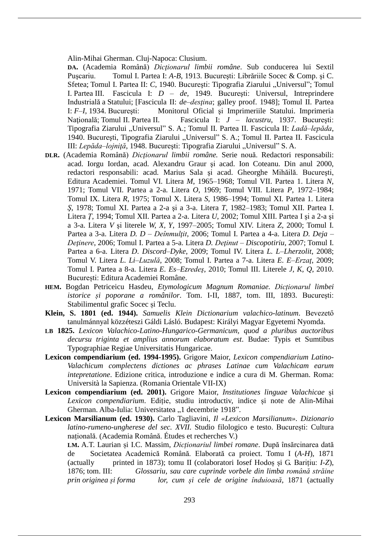Alin-Mihai Gherman. Cluj-Napoca: Clusium.

**DA.** (Academia Română) *Dicţionarul limbii române*. Sub conducerea lui Sextil Puşcariu. Tomul I. Partea I: *A-B*, 1913. Bucureşti: Librăriile Socec & Comp. şi C. Sfetea; Tomul I. Partea II: *C*, 1940. București: Tipografia Ziarului "Universul"; Tomul I. Partea III. Fascicula I: *D – de*, 1949. Bucureşti: Universul, Intreprindere Industrială a Statului; [Fascicula II: *de–desţina*; galley proof. 1948]; Tomul II. Partea I: *F–I*, 1934. Bucureşti: Monitorul Oficial şi Imprimeriile Statului. Imprimeria Naţională; Tomul II. Partea II. Fascicula I: *J – lacustru*, 1937. Bucureşti: Tipografia Ziarului "Universul" S. A.; Tomul II. Partea II. Fascicula II: Ladă-lepăda, 1940. București, Tipografia Ziarului "Universul" S. A.; Tomul II. Partea II. Fascicula III: *Lepăda–lojniță*, 1948. București: Tipografia Ziarului "Universul" S. A.

- **DLR.** (Academia Română) *Dicţionarul limbii române.* Serie nouă. Redactori responsabili: acad. Iorgu Iordan, acad. Alexandru Graur şi acad. Ion Coteanu. Din anul 2000, redactori responsabili: acad. Marius Sala şi acad. Gheorghe Mihăilă. Bucureşti, Editura Academiei. Tomul VI. Litera *M*, 1965–1968; Tomul VII. Partea 1. Litera *N*, 1971; Tomul VII. Partea a 2-a. Litera *O*, 1969; Tomul VIII. Litera *P*, 1972–1984; Tomul IX. Litera *R*, 1975; Tomul X. Litera *S*, 1986–1994; Tomul XI. Partea 1. Litera *Ş*, 1978; Tomul XI. Partea a 2-a şi a 3-a. Litera *T*, 1982–1983; Tomul XII. Partea I. Litera *Ţ*, 1994; Tomul XII. Partea a 2-a. Litera *U*, 2002; Tomul XIII. Partea I şi a 2-a şi a 3-a. Litera *V* şi literele *W, X, Y*, 1997–2005; Tomul XIV. Litera *Z*, 2000; Tomul I. Partea a 3-a. Litera *D. D – Deînmulţit*, 2006; Tomul I. Partea a 4-a. Litera *D. Deja – Deţinere*, 2006; Tomul I. Partea a 5-a. Litera *D. Deţinut – Discopotiriu*, 2007; Tomul I. Partea a 6-a. Litera *D*. *Discord–Dyke*, 2009; Tomul IV. Litera *L. L–Lherzolit*, 2008; Tomul V. Litera *L. Li–Luzulă*, 2008; Tomul I. Partea a 7-a. Litera *E. E–Erzaţ*, 2009; Tomul I. Partea a 8-a. Litera *E. Es–Ezredeş*, 2010; Tomul III. Literele *J, K, Q*, 2010. București: Editura Academiei Române.
- **HEM.** Bogdan Petriceicu Hasdeu, *Etymologicum Magnum Romaniae. Dicționarul limbei istorice și poporane a românilor*. Tom. I-II, 1887, tom. III, 1893. București: Stabilimentul grafic Socec și Teclu.
- **Klein, S. 1801 (ed. 1944).** *Samuelis Klein Dictionarium valachico-latinum*. Bevezető tanulmánnyal közzéteszi Gáldi Lásló. Budapest: Királyi Magyar Egyetemi Nyomda.
- **LB 1825.** *Lexicon Valachico-Latino-Hungarico-Germanicum, quod a pluribus auctoribus decursu triginta et amplius annorum elaboratum est*. Budae: Typis et Sumtibus Typographiae Regiae Universitatis Hungaricae.
- **Lexicon compendiarium (ed. 1994-1995).** Grigore Maior, *Lexicon compendiarium Latino-Valachicum complectens dictiones ac phrases Latinae cum Valachicam earum intepretatione*. Edizione critica, introduzione e indice a cura di M. Gherman. Roma: Università la Sapienza. (Romania Orientale VII-IX)
- **Lexicon compendiarium (ed. 2001).** Grigore Maior, *Institutiones linguae Valachicae* și *Lexicon compendiarium*. Ediție, studiu introductiv, indice și note de Alin-Mihai Gherman. Alba-Iulia: Universitatea "1 decembrie 1918".
- **Lexicon Marsilianum (ed. 1930).** Carlo Tagliavini, *Il «Lexicon Marsilianum». Dizionario latino-rumeno-ungherese del sec. XVII.* Studio filologico e testo. București: Cultura națională. (Academia Română. Études et recherches V.)

**LM.** A.T. Laurian și I.C. Massim, *Dicționariul limbei romane*. După însărcinarea dată de Societatea Academică Română. Elaborată ca proiect. Tomu I (*A-H*), 1871 (actually printed in 1873); tomu II (colaboratori Iosef Hodoș și G. Barițiu: *I-Z*), 1876; tom. III: *Glossariu, sau care cuprinde vorbele din limba română străine prin originea și forma lor, cum și cele de origine înduioasă*, 1871 (actually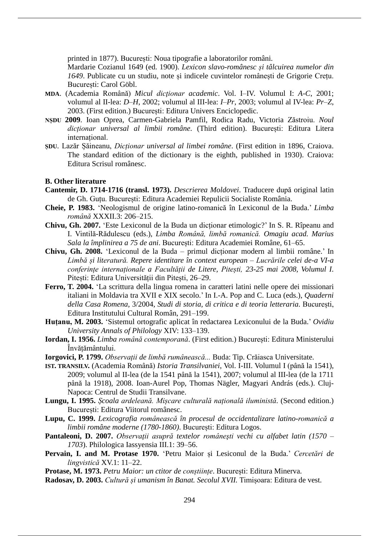printed in 1877). București: Noua tipografie a laboratorilor români.

Mardarie Cozianul 1649 (ed. 1900). *Lexicon slavo-românesc și tâlcuirea numelor din 1649*. Publicate cu un studiu, note și indicele cuvintelor românești de Grigorie Crețu. București: Carol Göbl.

- **MDA**. (Academia Română) *Micul dicţionar academic*. Vol. I–IV. Volumul I: *A-C*, 2001; volumul al II-lea: *D–H*, 2002; volumul al III-lea: *I–Pr*, 2003; volumul al IV-lea: *Pr–Z*, 2003. (First edition.) București: Editura Univers Enciclopedic.
- **NȘDU 2009**. Ioan Oprea, Carmen-Gabriela Pamfil, Rodica Radu, Victoria Zăstroiu. *Noul dicționar universal al limbii române*. (Third edition). București: Editura Litera internațional.
- **ȘDU**. Lazăr Șăineanu, *Dicționar universal al limbei române*. (First edition in 1896, Craiova. The standard edition of the dictionary is the eighth, published in 1930). Craiova: Editura Scrisul românesc.

### **B. Other literature**

- **Cantemir, D. 1714-1716 (transl. 1973).** *Descrierea Moldovei*. Traducere după original latin de Gh. Guțu. București: Editura Academiei Repulicii Socialiste România.
- **Cheie, P. 1983.** 'Neologismul de origine latino-romanică în Lexiconul de la Buda.' *Limba română* XXXII.3: 206‒215.
- **Chivu, Gh. 2007.** 'Este Lexiconul de la Buda un dicționar etimologic?' In S. R. Rîpeanu and I. Vintilă-Rădulescu (eds.), *Limba Română, limbă romanică. Omagiu acad. Marius Sala la împlinirea a 75 de ani*. București: Editura Academiei Române, 61‒65.
- **Chivu, Gh. 2008.** 'Lexiconul de la Buda primul dicționar modern al limbii române.' In *Limbă și literatură. Repere identitare în context european – Lucrările celei de-a VI-a conferințe internaționale a Facultății de Litere, Pitești, 23-25 mai 2008, Volumul I*. Pitești: Editura Universității din Pitești, 26‒29.
- **Ferro, T. 2004.** 'La scrittura della lingua romena in caratteri latini nelle opere dei missionari italiani in Moldavia tra XVII e XIX secolo.' In I.-A. Pop and C. Luca (eds.), *Quaderni della Casa Romena*, 3/2004, *Studi di storia, di critica e di teoria letteraria*. București, Editura Institutului Cultural Român, 291-199.
- **Huțanu, M. 2003.** 'Sistemul ortografic aplicat în redactarea Lexiconului de la Buda.' *Ovidiu University Annals of Philology* XIV: 133‒139.
- **Iordan, I. 1956.** *Limba română contemporană*. (First edition.) București: Editura Ministerului Învățământului.
- **Iorgovici, P. 1799.** *Observații de limbă rumânească...* Buda: Tip. Crăiasca Universitate.
- **IST. TRANSILV.** (Academia Română) *Istoria Transilvaniei*, Vol. I-III. Volumul I (până la 1541), 2009; volumul al II-lea (de la 1541 până la 1541), 2007; volumul al III-lea (de la 1711 până la 1918), 2008. Ioan-Aurel Pop, Thomas Nägler, Magyari András (eds.). Cluj-Napoca: Centrul de Studii Transilvane.
- **Lungu, I. 1995.** *Școala ardeleană. Mișcare culturală națională iluministă*. (Second edition.) București: Editura Viitorul românesc.
- **Lupu, C. 1999.** *Lexicografia românească în procesul de occidentalizare latino-romanică a limbii române moderne (1780-1860)*. București: Editura Logos.
- **Pantaleoni, D. 2007.** *Observaţii asupră textelor româneşti vechi cu alfabet latin (1570 – 1703*). Philologica Iassyensia III.1: 39–56.
- **Pervain, I. and M. Protase 1970.** 'Petru Maior și Lesiconul de la Buda.' *Cercetări de lingvistică* XV.1: 11‒22.
- **Protase, M. 1973.** *Petru Maior: un ctitor de conștiințe*. București: Editura Minerva.
- **Radosav, D. 2003.** *Cultură și umanism în Banat. Secolul XVII.* Timișoara: Editura de vest.